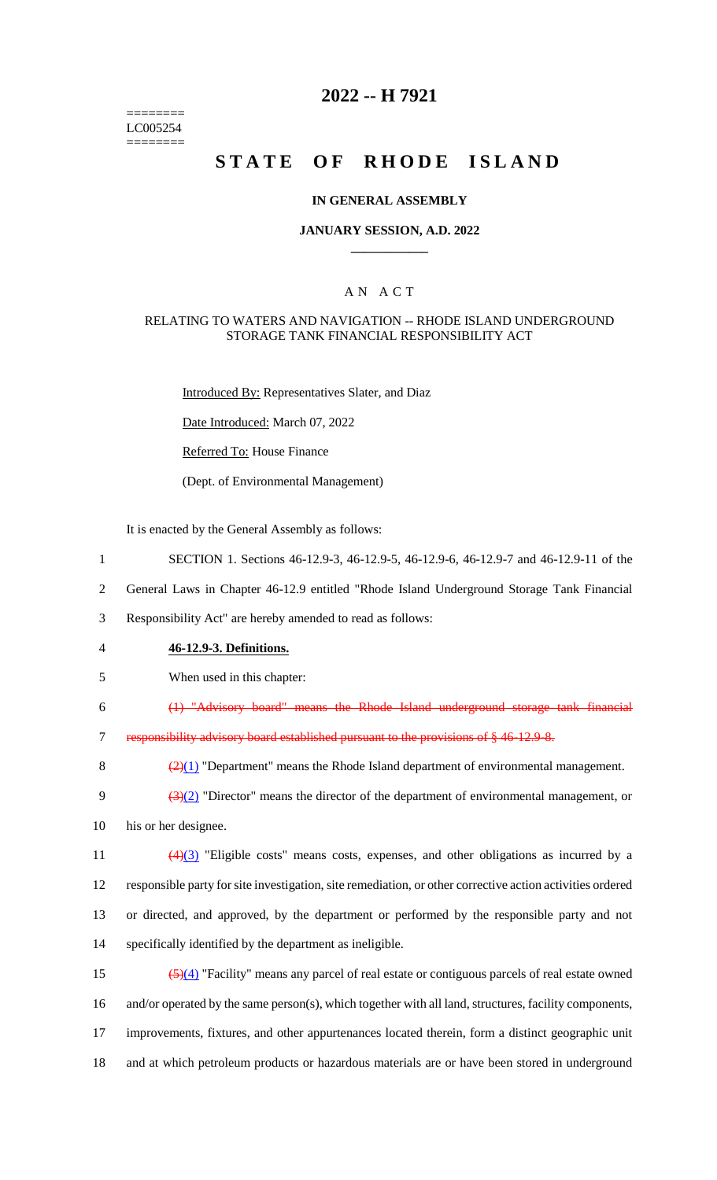======== LC005254 ========

# **2022 -- H 7921**

# **STATE OF RHODE ISLAND**

#### **IN GENERAL ASSEMBLY**

#### **JANUARY SESSION, A.D. 2022 \_\_\_\_\_\_\_\_\_\_\_\_**

### A N A C T

#### RELATING TO WATERS AND NAVIGATION -- RHODE ISLAND UNDERGROUND STORAGE TANK FINANCIAL RESPONSIBILITY ACT

Introduced By: Representatives Slater, and Diaz

Date Introduced: March 07, 2022

Referred To: House Finance

(Dept. of Environmental Management)

It is enacted by the General Assembly as follows:

- 1 SECTION 1. Sections 46-12.9-3, 46-12.9-5, 46-12.9-6, 46-12.9-7 and 46-12.9-11 of the
- 2 General Laws in Chapter 46-12.9 entitled "Rhode Island Underground Storage Tank Financial

3 Responsibility Act" are hereby amended to read as follows:

- 4 **46-12.9-3. Definitions.**
- 5 When used in this chapter:

6 (1) "Advisory board" means the Rhode Island underground storage tank financial

7 responsibility advisory board established pursuant to the provisions of § 46-12.9-8.

8  $\left(\frac{2}{1}\right)$  "Department" means the Rhode Island department of environmental management.

9  $\frac{3(2)}{2}$  "Director" means the director of the department of environmental management, or

10 his or her designee.

 (4)(3) "Eligible costs" means costs, expenses, and other obligations as incurred by a responsible party for site investigation, site remediation, or other corrective action activities ordered or directed, and approved, by the department or performed by the responsible party and not specifically identified by the department as ineligible.

 (5)(4) "Facility" means any parcel of real estate or contiguous parcels of real estate owned and/or operated by the same person(s), which together with all land, structures, facility components, improvements, fixtures, and other appurtenances located therein, form a distinct geographic unit and at which petroleum products or hazardous materials are or have been stored in underground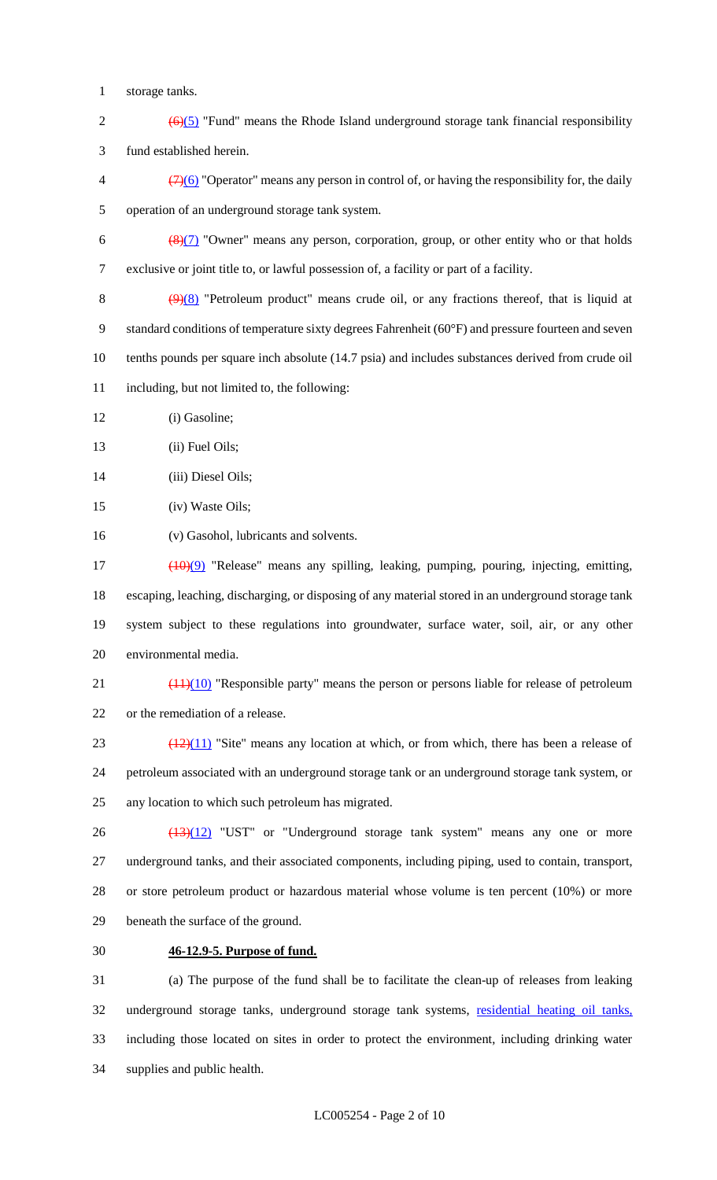- storage tanks.
- 2  $\left(\frac{6}{5}\right)$  "Fund" means the Rhode Island underground storage tank financial responsibility fund established herein.
- $\left(\frac{7}{6}\right)$  "Operator" means any person in control of, or having the responsibility for, the daily operation of an underground storage tank system.
- 6  $\left(\frac{8}{7}\right)$  "Owner" means any person, corporation, group, or other entity who or that holds exclusive or joint title to, or lawful possession of, a facility or part of a facility.
- 8  $(9)(8)$  "Petroleum product" means crude oil, or any fractions thereof, that is liquid at standard conditions of temperature sixty degrees Fahrenheit (60°F) and pressure fourteen and seven tenths pounds per square inch absolute (14.7 psia) and includes substances derived from crude oil including, but not limited to, the following:
- (i) Gasoline;
- 13 (ii) Fuel Oils;
- (iii) Diesel Oils;
- (iv) Waste Oils;
- (v) Gasohol, lubricants and solvents.
- (10)(9) "Release" means any spilling, leaking, pumping, pouring, injecting, emitting, escaping, leaching, discharging, or disposing of any material stored in an underground storage tank system subject to these regulations into groundwater, surface water, soil, air, or any other environmental media.
- 21  $\left(\frac{(11)(10)}{2}\right)$  "Responsible party" means the person or persons liable for release of petroleum or the remediation of a release.
- 23  $(12)(11)$  "Site" means any location at which, or from which, there has been a release of petroleum associated with an underground storage tank or an underground storage tank system, or any location to which such petroleum has migrated.
- $\frac{(13)(12)}{13}$  "UST" or "Underground storage tank system" means any one or more underground tanks, and their associated components, including piping, used to contain, transport, or store petroleum product or hazardous material whose volume is ten percent (10%) or more beneath the surface of the ground.
- 

# **46-12.9-5. Purpose of fund.**

 (a) The purpose of the fund shall be to facilitate the clean-up of releases from leaking underground storage tanks, underground storage tank systems, residential heating oil tanks, including those located on sites in order to protect the environment, including drinking water supplies and public health.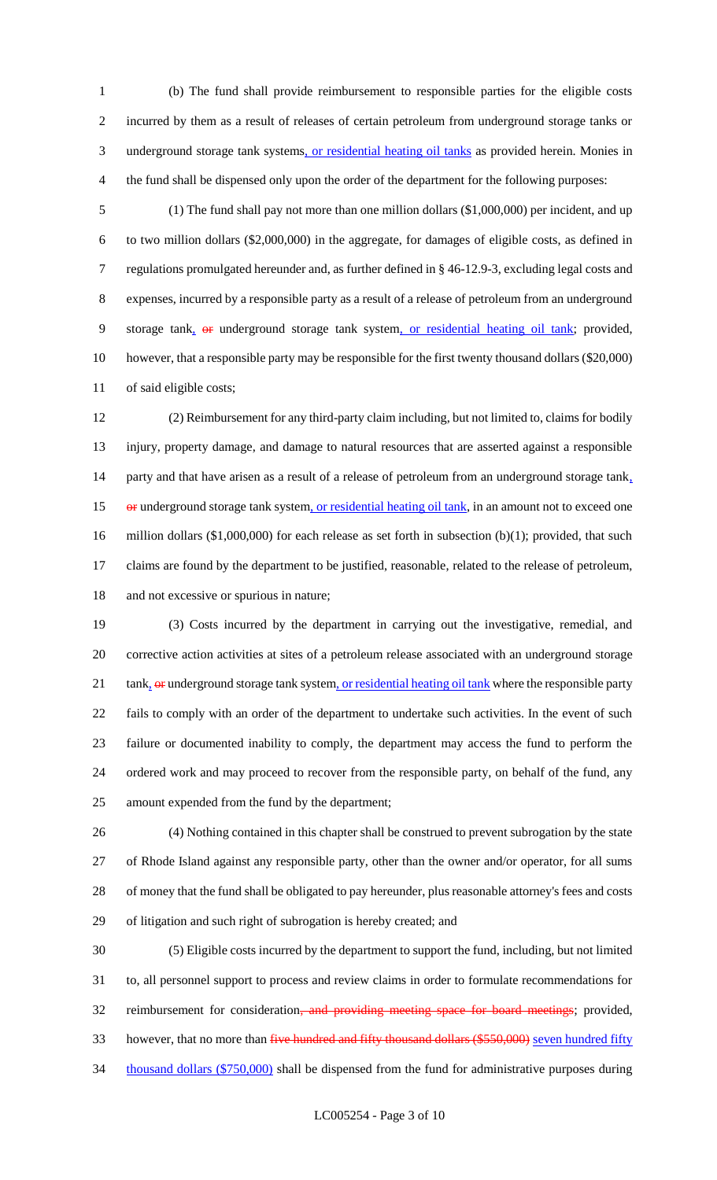(b) The fund shall provide reimbursement to responsible parties for the eligible costs incurred by them as a result of releases of certain petroleum from underground storage tanks or 3 underground storage tank systems, or residential heating oil tanks as provided herein. Monies in the fund shall be dispensed only upon the order of the department for the following purposes:

 (1) The fund shall pay not more than one million dollars (\$1,000,000) per incident, and up to two million dollars (\$2,000,000) in the aggregate, for damages of eligible costs, as defined in regulations promulgated hereunder and, as further defined in § 46-12.9-3, excluding legal costs and expenses, incurred by a responsible party as a result of a release of petroleum from an underground 9 storage tank,  $\Theta$  underground storage tank system, or residential heating oil tank; provided, however, that a responsible party may be responsible for the first twenty thousand dollars (\$20,000) of said eligible costs;

 (2) Reimbursement for any third-party claim including, but not limited to, claims for bodily injury, property damage, and damage to natural resources that are asserted against a responsible 14 party and that have arisen as a result of a release of petroleum from an underground storage tank, 15 or underground storage tank system, or residential heating oil tank, in an amount not to exceed one million dollars (\$1,000,000) for each release as set forth in subsection (b)(1); provided, that such claims are found by the department to be justified, reasonable, related to the release of petroleum, 18 and not excessive or spurious in nature;

 (3) Costs incurred by the department in carrying out the investigative, remedial, and corrective action activities at sites of a petroleum release associated with an underground storage  $\text{tank}_1$  or underground storage tank system, or residential heating oil tank where the responsible party fails to comply with an order of the department to undertake such activities. In the event of such failure or documented inability to comply, the department may access the fund to perform the ordered work and may proceed to recover from the responsible party, on behalf of the fund, any amount expended from the fund by the department;

 (4) Nothing contained in this chapter shall be construed to prevent subrogation by the state of Rhode Island against any responsible party, other than the owner and/or operator, for all sums of money that the fund shall be obligated to pay hereunder, plus reasonable attorney's fees and costs of litigation and such right of subrogation is hereby created; and

 (5) Eligible costs incurred by the department to support the fund, including, but not limited to, all personnel support to process and review claims in order to formulate recommendations for 32 reimbursement for consideration<del>, and providing meeting space for board meetings</del>; provided, 33 however, that no more than five hundred and fifty thousand dollars (\$550,000) seven hundred fifty 34 thousand dollars (\$750,000) shall be dispensed from the fund for administrative purposes during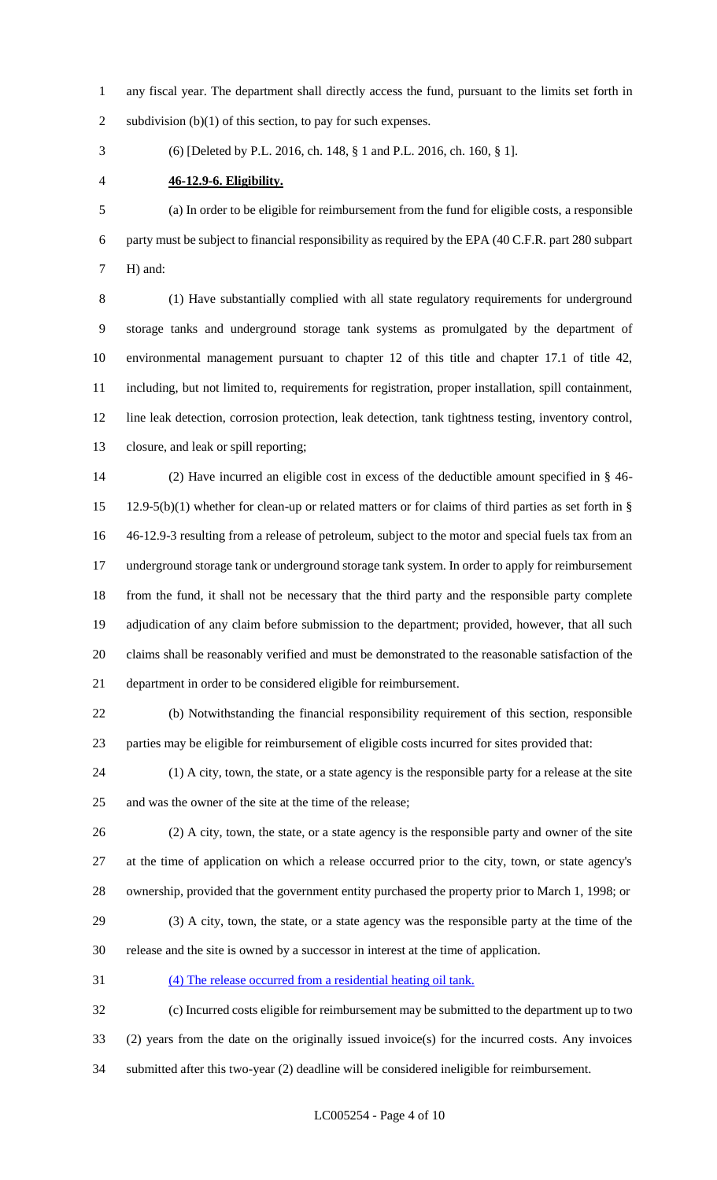any fiscal year. The department shall directly access the fund, pursuant to the limits set forth in 2 subdivision (b)(1) of this section, to pay for such expenses.

(6) [Deleted by P.L. 2016, ch. 148, § 1 and P.L. 2016, ch. 160, § 1].

**46-12.9-6. Eligibility.**

 (a) In order to be eligible for reimbursement from the fund for eligible costs, a responsible party must be subject to financial responsibility as required by the EPA (40 C.F.R. part 280 subpart H) and:

 (1) Have substantially complied with all state regulatory requirements for underground storage tanks and underground storage tank systems as promulgated by the department of environmental management pursuant to chapter 12 of this title and chapter 17.1 of title 42, including, but not limited to, requirements for registration, proper installation, spill containment, line leak detection, corrosion protection, leak detection, tank tightness testing, inventory control, closure, and leak or spill reporting;

 (2) Have incurred an eligible cost in excess of the deductible amount specified in § 46- 12.9-5(b)(1) whether for clean-up or related matters or for claims of third parties as set forth in § 46-12.9-3 resulting from a release of petroleum, subject to the motor and special fuels tax from an underground storage tank or underground storage tank system. In order to apply for reimbursement from the fund, it shall not be necessary that the third party and the responsible party complete adjudication of any claim before submission to the department; provided, however, that all such claims shall be reasonably verified and must be demonstrated to the reasonable satisfaction of the department in order to be considered eligible for reimbursement.

 (b) Notwithstanding the financial responsibility requirement of this section, responsible parties may be eligible for reimbursement of eligible costs incurred for sites provided that:

 (1) A city, town, the state, or a state agency is the responsible party for a release at the site and was the owner of the site at the time of the release;

 (2) A city, town, the state, or a state agency is the responsible party and owner of the site at the time of application on which a release occurred prior to the city, town, or state agency's ownership, provided that the government entity purchased the property prior to March 1, 1998; or

 (3) A city, town, the state, or a state agency was the responsible party at the time of the release and the site is owned by a successor in interest at the time of application.

(4) The release occurred from a residential heating oil tank.

 (c) Incurred costs eligible for reimbursement may be submitted to the department up to two (2) years from the date on the originally issued invoice(s) for the incurred costs. Any invoices submitted after this two-year (2) deadline will be considered ineligible for reimbursement.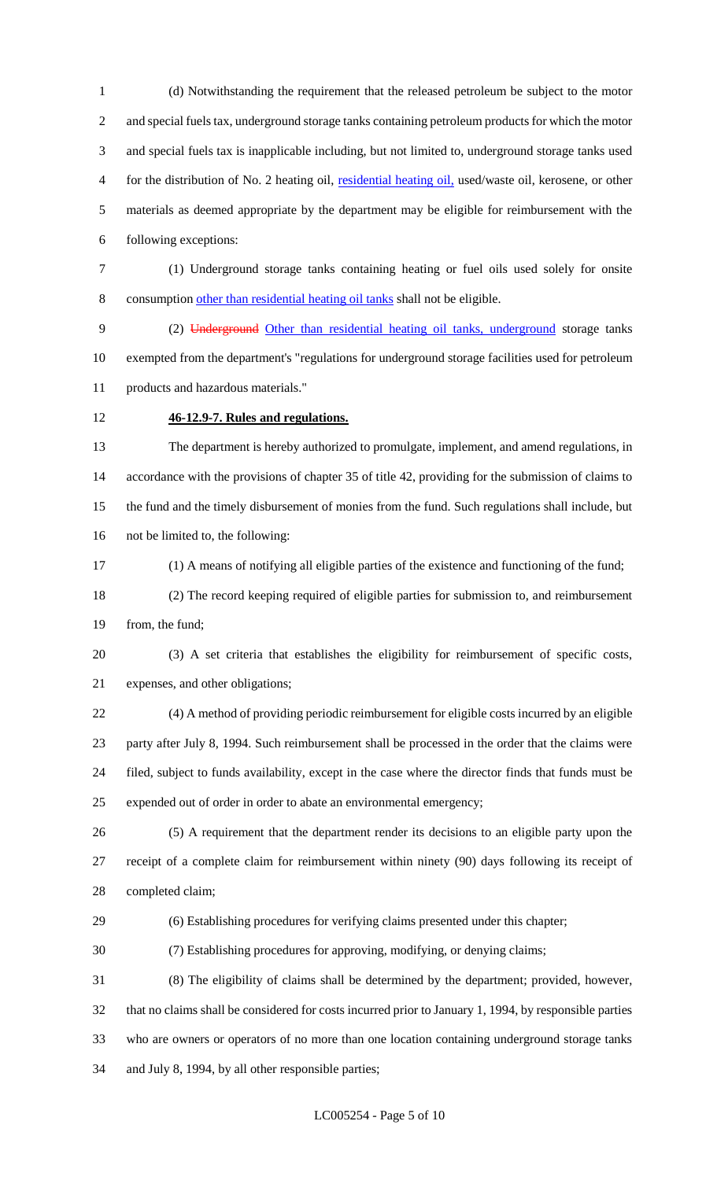(d) Notwithstanding the requirement that the released petroleum be subject to the motor and special fuels tax, underground storage tanks containing petroleum products for which the motor and special fuels tax is inapplicable including, but not limited to, underground storage tanks used for the distribution of No. 2 heating oil, residential heating oil, used/waste oil, kerosene, or other materials as deemed appropriate by the department may be eligible for reimbursement with the following exceptions:

 (1) Underground storage tanks containing heating or fuel oils used solely for onsite consumption other than residential heating oil tanks shall not be eligible.

 (2) Underground Other than residential heating oil tanks, underground storage tanks exempted from the department's "regulations for underground storage facilities used for petroleum products and hazardous materials."

## **46-12.9-7. Rules and regulations.**

 The department is hereby authorized to promulgate, implement, and amend regulations, in accordance with the provisions of chapter 35 of title 42, providing for the submission of claims to the fund and the timely disbursement of monies from the fund. Such regulations shall include, but not be limited to, the following:

(1) A means of notifying all eligible parties of the existence and functioning of the fund;

 (2) The record keeping required of eligible parties for submission to, and reimbursement from, the fund;

 (3) A set criteria that establishes the eligibility for reimbursement of specific costs, expenses, and other obligations;

 (4) A method of providing periodic reimbursement for eligible costs incurred by an eligible party after July 8, 1994. Such reimbursement shall be processed in the order that the claims were filed, subject to funds availability, except in the case where the director finds that funds must be expended out of order in order to abate an environmental emergency;

 (5) A requirement that the department render its decisions to an eligible party upon the receipt of a complete claim for reimbursement within ninety (90) days following its receipt of completed claim;

(6) Establishing procedures for verifying claims presented under this chapter;

(7) Establishing procedures for approving, modifying, or denying claims;

 (8) The eligibility of claims shall be determined by the department; provided, however, that no claims shall be considered for costs incurred prior to January 1, 1994, by responsible parties who are owners or operators of no more than one location containing underground storage tanks and July 8, 1994, by all other responsible parties;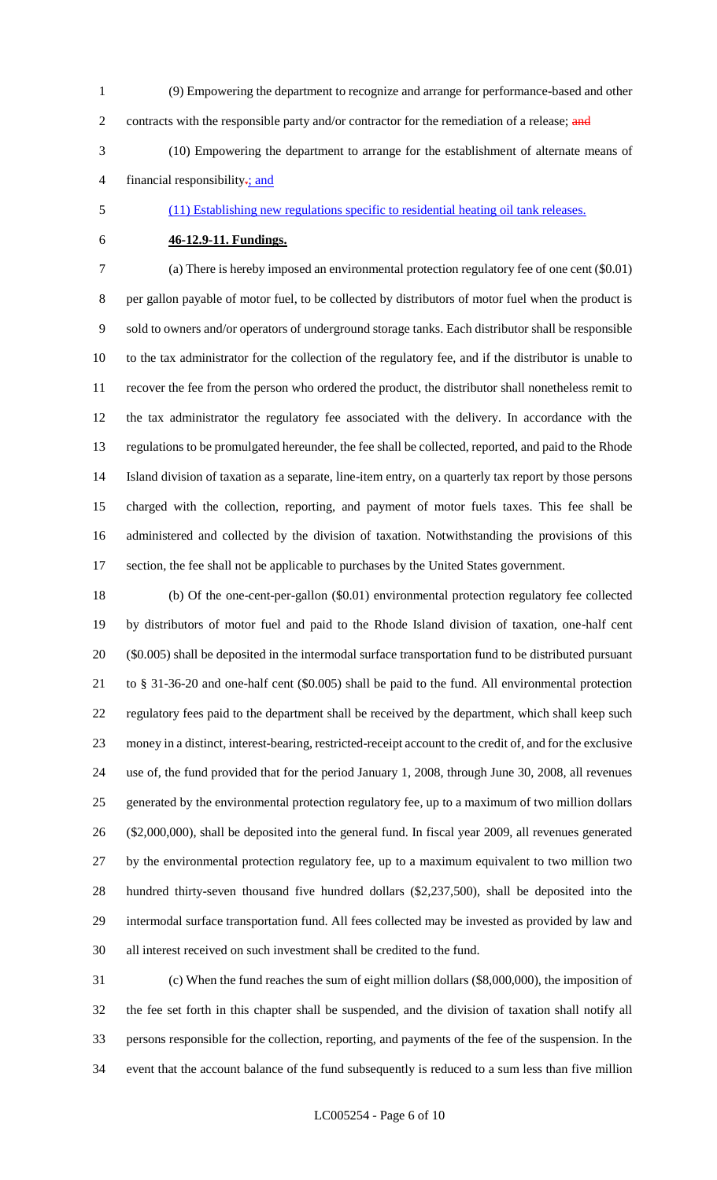(9) Empowering the department to recognize and arrange for performance-based and other 2 contracts with the responsible party and/or contractor for the remediation of a release; and (10) Empowering the department to arrange for the establishment of alternate means of

4 financial responsibility $\div$ ; and

(11) Establishing new regulations specific to residential heating oil tank releases.

## **46-12.9-11. Fundings.**

 (a) There is hereby imposed an environmental protection regulatory fee of one cent (\$0.01) per gallon payable of motor fuel, to be collected by distributors of motor fuel when the product is sold to owners and/or operators of underground storage tanks. Each distributor shall be responsible to the tax administrator for the collection of the regulatory fee, and if the distributor is unable to recover the fee from the person who ordered the product, the distributor shall nonetheless remit to the tax administrator the regulatory fee associated with the delivery. In accordance with the regulations to be promulgated hereunder, the fee shall be collected, reported, and paid to the Rhode Island division of taxation as a separate, line-item entry, on a quarterly tax report by those persons charged with the collection, reporting, and payment of motor fuels taxes. This fee shall be administered and collected by the division of taxation. Notwithstanding the provisions of this section, the fee shall not be applicable to purchases by the United States government.

 (b) Of the one-cent-per-gallon (\$0.01) environmental protection regulatory fee collected by distributors of motor fuel and paid to the Rhode Island division of taxation, one-half cent (\$0.005) shall be deposited in the intermodal surface transportation fund to be distributed pursuant to § 31-36-20 and one-half cent (\$0.005) shall be paid to the fund. All environmental protection regulatory fees paid to the department shall be received by the department, which shall keep such money in a distinct, interest-bearing, restricted-receipt account to the credit of, and for the exclusive use of, the fund provided that for the period January 1, 2008, through June 30, 2008, all revenues generated by the environmental protection regulatory fee, up to a maximum of two million dollars (\$2,000,000), shall be deposited into the general fund. In fiscal year 2009, all revenues generated by the environmental protection regulatory fee, up to a maximum equivalent to two million two hundred thirty-seven thousand five hundred dollars (\$2,237,500), shall be deposited into the intermodal surface transportation fund. All fees collected may be invested as provided by law and all interest received on such investment shall be credited to the fund.

 (c) When the fund reaches the sum of eight million dollars (\$8,000,000), the imposition of the fee set forth in this chapter shall be suspended, and the division of taxation shall notify all persons responsible for the collection, reporting, and payments of the fee of the suspension. In the event that the account balance of the fund subsequently is reduced to a sum less than five million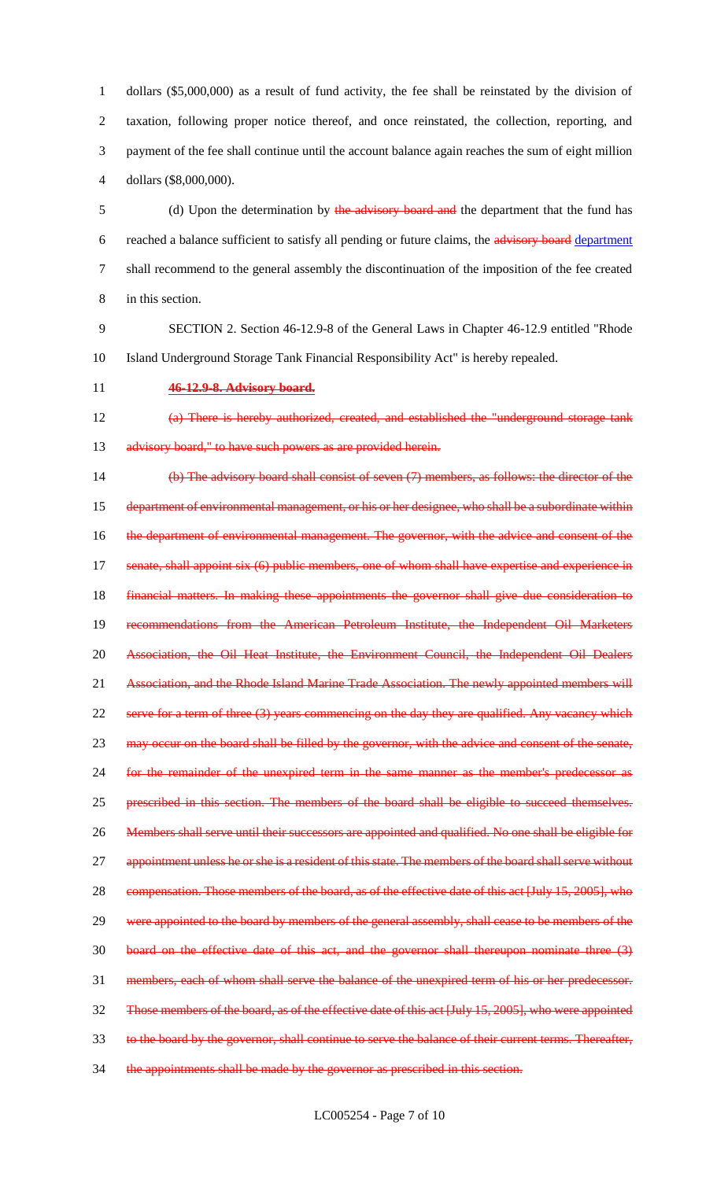dollars (\$5,000,000) as a result of fund activity, the fee shall be reinstated by the division of taxation, following proper notice thereof, and once reinstated, the collection, reporting, and payment of the fee shall continue until the account balance again reaches the sum of eight million dollars (\$8,000,000).

5 (d) Upon the determination by the advisory board and the department that the fund has reached a balance sufficient to satisfy all pending or future claims, the advisory board department shall recommend to the general assembly the discontinuation of the imposition of the fee created in this section.

 SECTION 2. Section 46-12.9-8 of the General Laws in Chapter 46-12.9 entitled "Rhode Island Underground Storage Tank Financial Responsibility Act" is hereby repealed.

#### **46-12.9-8. Advisory board.**

 (a) There is hereby authorized, created, and established the "underground storage tank 13 advisory board," to have such powers as are provided herein.

 (b) The advisory board shall consist of seven (7) members, as follows: the director of the 15 department of environmental management, or his or her designee, who shall be a subordinate within 16 the department of environmental management. The governor, with the advice and consent of the 17 senate, shall appoint six (6) public members, one of whom shall have expertise and experience in financial matters. In making these appointments the governor shall give due consideration to recommendations from the American Petroleum Institute, the Independent Oil Marketers Association, the Oil Heat Institute, the Environment Council, the Independent Oil Dealers 21 Association, and the Rhode Island Marine Trade Association. The newly appointed members will serve for a term of three (3) years commencing on the day they are qualified. Any vacancy which 23 may occur on the board shall be filled by the governor, with the advice and consent of the senate, for the remainder of the unexpired term in the same manner as the member's predecessor as prescribed in this section. The members of the board shall be eligible to succeed themselves. 26 Members shall serve until their successors are appointed and qualified. No one shall be eligible for 27 appointment unless he or she is a resident of this state. The members of the board shall serve without 28 compensation. Those members of the board, as of the effective date of this act [July 15, 2005], who 29 were appointed to the board by members of the general assembly, shall cease to be members of the board on the effective date of this act, and the governor shall thereupon nominate three (3) members, each of whom shall serve the balance of the unexpired term of his or her predecessor. Those members of the board, as of the effective date of this act [July 15, 2005], who were appointed to the board by the governor, shall continue to serve the balance of their current terms. Thereafter, 34 the appointments shall be made by the governor as prescribed in this section.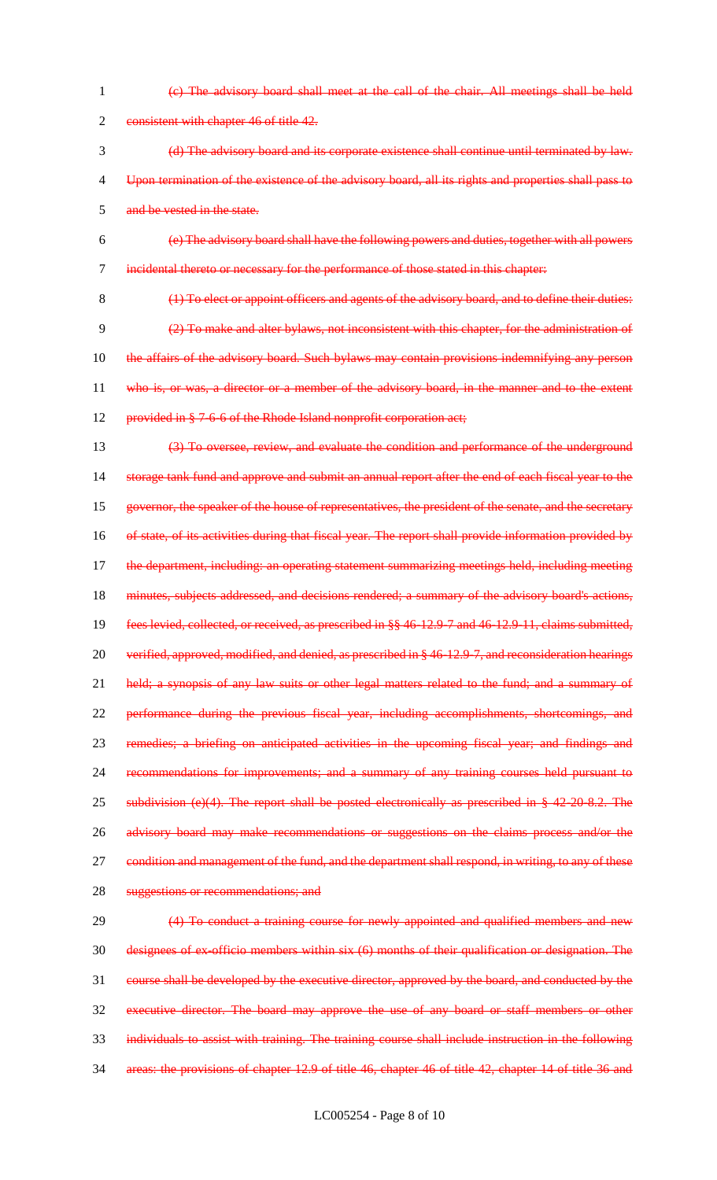(c) The advisory board shall meet at the call of the chair. All meetings shall be held 2 consistent with chapter 46 of title 42. (d) The advisory board and its corporate existence shall continue until terminated by law. Upon termination of the existence of the advisory board, all its rights and properties shall pass to and be vested in the state. (e) The advisory board shall have the following powers and duties, together with all powers incidental thereto or necessary for the performance of those stated in this chapter: 8 (1) To elect or appoint officers and agents of the advisory board, and to define their duties: (2) To make and alter bylaws, not inconsistent with this chapter, for the administration of 10 the affairs of the advisory board. Such bylaws may contain provisions indemnifying any person who is, or was, a director or a member of the advisory board, in the manner and to the extent 12 provided in § 7-6-6 of the Rhode Island nonprofit corporation act; (3) To oversee, review, and evaluate the condition and performance of the underground storage tank fund and approve and submit an annual report after the end of each fiscal year to the governor, the speaker of the house of representatives, the president of the senate, and the secretary 16 of state, of its activities during that fiscal year. The report shall provide information provided by 17 the department, including: an operating statement summarizing meetings held, including meeting 18 minutes, subjects addressed, and decisions rendered; a summary of the advisory board's actions, fees levied, collected, or received, as prescribed in §§ 46-12.9-7 and 46-12.9-11, claims submitted, verified, approved, modified, and denied, as prescribed in § 46-12.9-7, and reconsideration hearings 21 held; a synopsis of any law suits or other legal matters related to the fund; and a summary of 22 performance during the previous fiscal year, including accomplishments, shortcomings, and remedies; a briefing on anticipated activities in the upcoming fiscal year; and findings and recommendations for improvements; and a summary of any training courses held pursuant to 25 subdivision (e)(4). The report shall be posted electronically as prescribed in § 42-20-8.2. The 26 advisory board may make recommendations or suggestions on the claims process and/or the 27 condition and management of the fund, and the department shall respond, in writing, to any of these suggestions or recommendations; and 29 (4) To conduct a training course for newly appointed and qualified members and new designees of ex-officio members within six (6) months of their qualification or designation. The course shall be developed by the executive director, approved by the board, and conducted by the executive director. The board may approve the use of any board or staff members or other individuals to assist with training. The training course shall include instruction in the following areas: the provisions of chapter 12.9 of title 46, chapter 46 of title 42, chapter 14 of title 36 and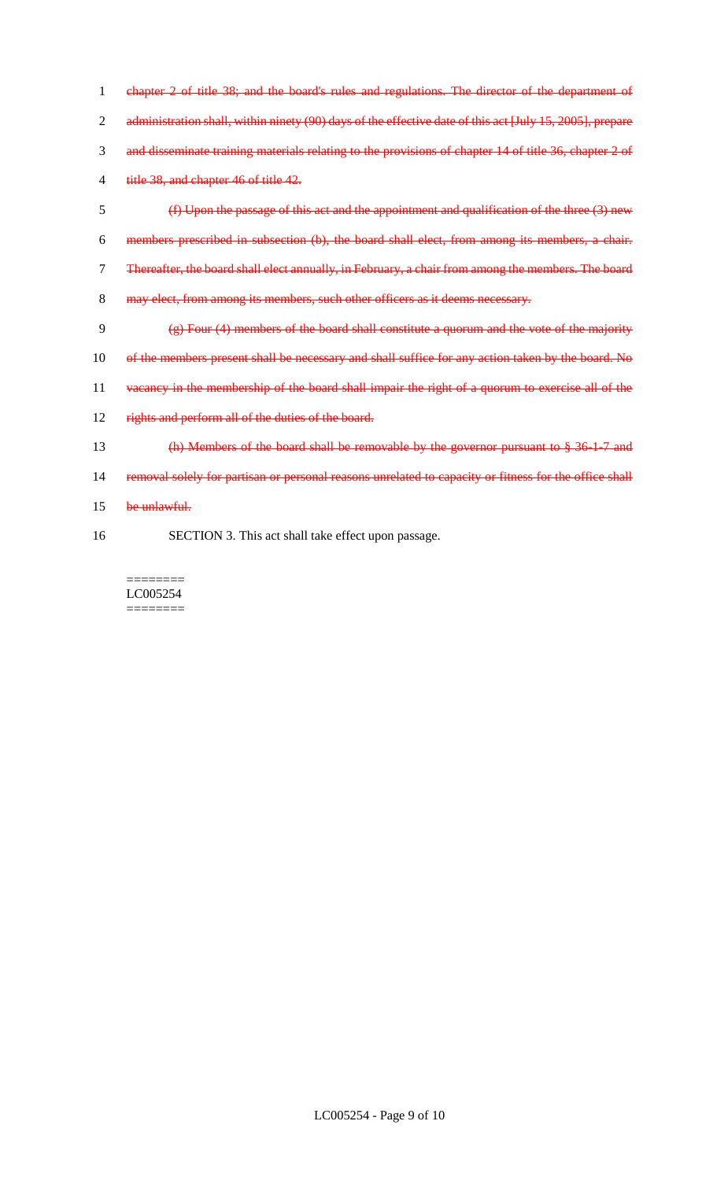1 chapter 2 of title 38; and the board's rules and regulations. The director of the department of 2 administration shall, within ninety (90) days of the effective date of this act [July 15, 2005], prepare 3 and disseminate training materials relating to the provisions of chapter 14 of title 36, chapter 2 of 4 title 38, and chapter 46 of title 42.

 (f) Upon the passage of this act and the appointment and qualification of the three (3) new members prescribed in subsection (b), the board shall elect, from among its members, a chair. Thereafter, the board shall elect annually, in February, a chair from among the members. The board 8 may elect, from among its members, such other officers as it deems necessary.

- 9  $\left(\frac{1}{2}\right)$  Four (4) members of the board shall constitute a quorum and the vote of the majority
- 10 of the members present shall be necessary and shall suffice for any action taken by the board. No
- 11 vacancy in the membership of the board shall impair the right of a quorum to exercise all of the
- 12 rights and perform all of the duties of the board.
- 13 (h) Members of the board shall be removable by the governor pursuant to § 36-1-7 and
- 14 removal solely for partisan or personal reasons unrelated to capacity or fitness for the office shall
- 15 be unlawful.
- 16 SECTION 3. This act shall take effect upon passage.

======== LC005254 ========